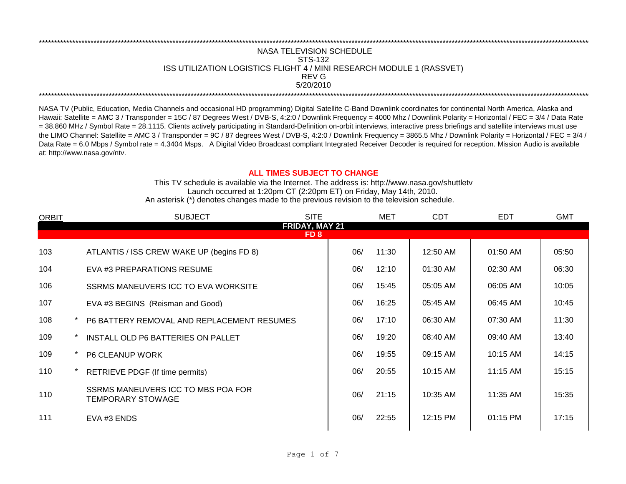## REV G \*\*\*\*\*\*\*\*\*\*\*\*\*\*\*\*\*\*\*\*\*\*\*\*\*\*\*\*\*\*\*\*\*\*\*\*\*\*\*\*\*\*\*\*\*\*\*\*\*\*\*\*\*\*\*\*\*\*\*\*\*\*\*\*\*\*\*\*\*\*\*\*\*\*\*\*\*\*\*\*\*\*\*\*\*\*\*\*\*\*\*\*\*\*\*\*\*\*\*\*\*\*\*\*\*\*\*\*\*\*\*\*\*\*\*\*\*\*\*\*\*\*\*\*\*\*\*\*\*\*\*\*\*\*\*\*\*\*\*\*\*\*\*\*\*\*\*\*\*\*\*\*\*\*\*\*\*\*\*\*\*\*\*\*\*\*\*\*\*\*\*\*\*\*\*\*\*\*\*\*\*\*\*\*\* NASA TELEVISION SCHEDULE STS-132 ISS UTILIZATION LOGISTICS FLIGHT 4 / MINI RESEARCH MODULE 1 (RASSVET) 5/20/2010 \*\*\*\*\*\*\*\*\*\*\*\*\*\*\*\*\*\*\*\*\*\*\*\*\*\*\*\*\*\*\*\*\*\*\*\*\*\*\*\*\*\*\*\*\*\*\*\*\*\*\*\*\*\*\*\*\*\*\*\*\*\*\*\*\*\*\*\*\*\*\*\*\*\*\*\*\*\*\*\*\*\*\*\*\*\*\*\*\*\*\*\*\*\*\*\*\*\*\*\*\*\*\*\*\*\*\*\*\*\*\*\*\*\*\*\*\*\*\*\*\*\*\*\*\*\*\*\*\*\*\*\*\*\*\*\*\*\*\*\*\*\*\*\*\*\*\*\*\*\*\*\*\*\*\*\*\*\*\*\*\*\*\*\*\*\*\*\*\*\*\*\*\*\*\*\*\*\*\*\*\*\*\*\*\*

NASA TV (Public, Education, Media Channels and occasional HD programming) Digital Satellite C-Band Downlink coordinates for continental North America, Alaska and Hawaii: Satellite = AMC 3 / Transponder = 15C / 87 Degrees West / DVB-S, 4:2:0 / Downlink Frequency = 4000 Mhz / Downlink Polarity = Horizontal / FEC = 3/4 / Data Rate = 38.860 MHz / Symbol Rate = 28.1115. Clients actively participating in Standard-Definition on-orbit interviews, interactive press briefings and satellite interviews must use the LIMO Channel: Satellite = AMC 3 / Transponder = 9C / 87 degrees West / DVB-S, 4:2:0 / Downlink Frequency = 3865.5 Mhz / Downlink Polarity = Horizontal / FEC = 3/4 / Data Rate = 6.0 Mbps / Symbol rate = 4.3404 Msps. A Digital Video Broadcast compliant Integrated Receiver Decoder is required for reception. Mission Audio is available at: http://www.nasa.gov/ntv.

## **ALL TIMES SUBJECT TO CHANGE**

Launch occurred at 1:20pm CT (2:20pm ET) on Friday, May 14th, 2010. An asterisk (\*) denotes changes made to the previous revision to the television schedule. This TV schedule is available via the Internet. The address is: http://www.nasa.gov/shuttletv

| <b>ORBIT</b> |  | <b>SUBJECT</b>                                          | <b>SITE</b> |     | <b>MET</b> | <b>CDT</b> | <b>EDT</b> | <b>GMT</b> |  |  |
|--------------|--|---------------------------------------------------------|-------------|-----|------------|------------|------------|------------|--|--|
|              |  | FRIDAY, MAY 21                                          |             |     |            |            |            |            |  |  |
| FD 8         |  |                                                         |             |     |            |            |            |            |  |  |
| 103          |  | ATLANTIS / ISS CREW WAKE UP (begins FD 8)               |             | 06/ | 11:30      | 12:50 AM   | 01:50 AM   | 05:50      |  |  |
| 104          |  | EVA #3 PREPARATIONS RESUME                              |             | 06/ | 12:10      | 01:30 AM   | 02:30 AM   | 06:30      |  |  |
| 106          |  | SSRMS MANEUVERS ICC TO EVA WORKSITE                     |             | 06/ | 15:45      | 05:05 AM   | 06:05 AM   | 10:05      |  |  |
| 107          |  | EVA #3 BEGINS (Reisman and Good)                        |             | 06/ | 16:25      | 05:45 AM   | 06:45 AM   | 10:45      |  |  |
| 108          |  | P6 BATTERY REMOVAL AND REPLACEMENT RESUMES              |             | 06/ | 17:10      | 06:30 AM   | 07:30 AM   | 11:30      |  |  |
| 109          |  | INSTALL OLD P6 BATTERIES ON PALLET                      |             | 06/ | 19:20      | 08:40 AM   | 09:40 AM   | 13:40      |  |  |
| 109          |  | <b>P6 CLEANUP WORK</b>                                  |             | 06/ | 19:55      | 09:15 AM   | 10:15 AM   | 14:15      |  |  |
| 110          |  | RETRIEVE PDGF (If time permits)                         |             | 06/ | 20:55      | 10:15 AM   | 11:15 AM   | 15:15      |  |  |
| 110          |  | SSRMS MANEUVERS ICC TO MBS POA FOR<br>TEMPORARY STOWAGE |             | 06/ | 21:15      | 10:35 AM   | 11:35 AM   | 15:35      |  |  |
| 111          |  | EVA #3 ENDS                                             |             | 06/ | 22:55      | 12:15 PM   | 01:15 PM   | 17:15      |  |  |
|              |  |                                                         |             |     |            |            |            |            |  |  |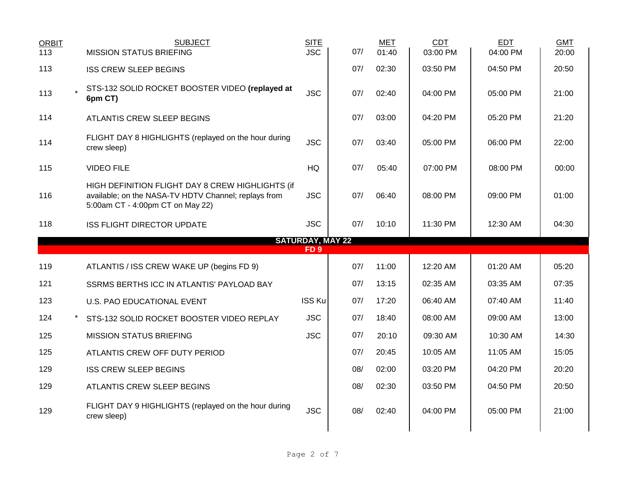| <b>ORBIT</b><br>113 | <b>SUBJECT</b><br><b>MISSION STATUS BRIEFING</b>                                                                                             | <b>SITE</b><br><b>JSC</b>                  | 07/ | <b>MET</b><br>01:40 | <b>CDT</b><br>03:00 PM | <b>EDT</b><br>04:00 PM | <b>GMT</b><br>20:00 |  |
|---------------------|----------------------------------------------------------------------------------------------------------------------------------------------|--------------------------------------------|-----|---------------------|------------------------|------------------------|---------------------|--|
| 113                 | <b>ISS CREW SLEEP BEGINS</b>                                                                                                                 |                                            | 07/ | 02:30               | 03:50 PM               | 04:50 PM               | 20:50               |  |
| 113                 | STS-132 SOLID ROCKET BOOSTER VIDEO (replayed at<br>6pm CT)                                                                                   | <b>JSC</b>                                 | 07/ | 02:40               | 04:00 PM               | 05:00 PM               | 21:00               |  |
| 114                 | <b>ATLANTIS CREW SLEEP BEGINS</b>                                                                                                            |                                            | 07/ | 03:00               | 04:20 PM               | 05:20 PM               | 21:20               |  |
| 114                 | FLIGHT DAY 8 HIGHLIGHTS (replayed on the hour during<br>crew sleep)                                                                          | <b>JSC</b>                                 | 07/ | 03:40               | 05:00 PM               | 06:00 PM               | 22:00               |  |
| 115                 | <b>VIDEO FILE</b>                                                                                                                            | HQ                                         | 07/ | 05:40               | 07:00 PM               | 08:00 PM               | 00:00               |  |
| 116                 | HIGH DEFINITION FLIGHT DAY 8 CREW HIGHLIGHTS (if<br>available; on the NASA-TV HDTV Channel; replays from<br>5:00am CT - 4:00pm CT on May 22) | <b>JSC</b>                                 | 07/ | 06:40               | 08:00 PM               | 09:00 PM               | 01:00               |  |
| 118                 | <b>ISS FLIGHT DIRECTOR UPDATE</b>                                                                                                            | <b>JSC</b>                                 | 07/ | 10:10               | 11:30 PM               | 12:30 AM               | 04:30               |  |
|                     |                                                                                                                                              | <b>SATURDAY, MAY 22</b><br>FD <sub>9</sub> |     |                     |                        |                        |                     |  |
| 119                 | ATLANTIS / ISS CREW WAKE UP (begins FD 9)                                                                                                    |                                            | 07/ | 11:00               | 12:20 AM               | 01:20 AM               | 05:20               |  |
| 121                 | SSRMS BERTHS ICC IN ATLANTIS' PAYLOAD BAY                                                                                                    |                                            | 07/ | 13:15               | 02:35 AM               | 03:35 AM               | 07:35               |  |
| 123                 | U.S. PAO EDUCATIONAL EVENT                                                                                                                   | ISS Ku                                     | 07/ | 17:20               | 06:40 AM               | 07:40 AM               | 11:40               |  |
| 124                 | STS-132 SOLID ROCKET BOOSTER VIDEO REPLAY                                                                                                    | <b>JSC</b>                                 | 07/ | 18:40               | 08:00 AM               | 09:00 AM               | 13:00               |  |
| 125                 | <b>MISSION STATUS BRIEFING</b>                                                                                                               | <b>JSC</b>                                 | 07/ | 20:10               | 09:30 AM               | 10:30 AM               | 14:30               |  |
| 125                 | ATLANTIS CREW OFF DUTY PERIOD                                                                                                                |                                            | 07/ | 20:45               | 10:05 AM               | 11:05 AM               | 15:05               |  |
| 129                 | <b>ISS CREW SLEEP BEGINS</b>                                                                                                                 |                                            | 08/ | 02:00               | 03:20 PM               | 04:20 PM               | 20:20               |  |
| 129                 | ATLANTIS CREW SLEEP BEGINS                                                                                                                   |                                            | 08/ | 02:30               | 03:50 PM               | 04:50 PM               | 20:50               |  |
| 129                 | FLIGHT DAY 9 HIGHLIGHTS (replayed on the hour during<br>crew sleep)                                                                          | <b>JSC</b>                                 | 08/ | 02:40               | 04:00 PM               | 05:00 PM               | 21:00               |  |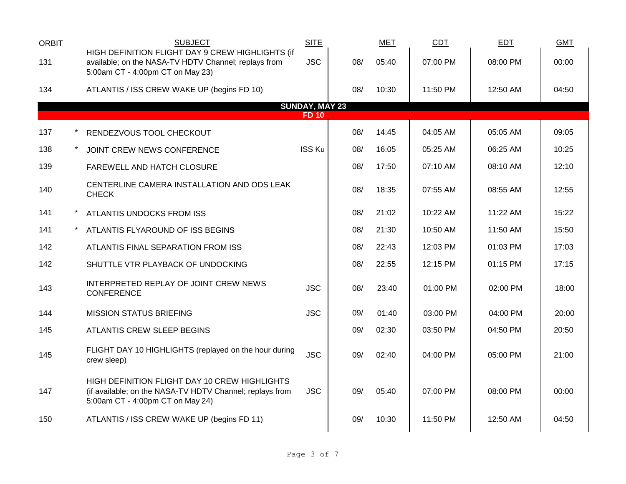| <b>ORBIT</b> | <b>SUBJECT</b>                                                                                                                                | <b>SITE</b>                           |     | <b>MET</b> | CDT      | <b>EDT</b> | <b>GMT</b> |
|--------------|-----------------------------------------------------------------------------------------------------------------------------------------------|---------------------------------------|-----|------------|----------|------------|------------|
| 131          | HIGH DEFINITION FLIGHT DAY 9 CREW HIGHLIGHTS (if<br>available; on the NASA-TV HDTV Channel; replays from<br>5:00am CT - 4:00pm CT on May 23)  | <b>JSC</b>                            | 08/ | 05:40      | 07:00 PM | 08:00 PM   | 00:00      |
| 134          | ATLANTIS / ISS CREW WAKE UP (begins FD 10)                                                                                                    |                                       | 08/ | 10:30      | 11:50 PM | 12:50 AM   | 04:50      |
|              |                                                                                                                                               | <b>SUNDAY, MAY 23</b><br><b>FD 10</b> |     |            |          |            |            |
| 137          | RENDEZVOUS TOOL CHECKOUT                                                                                                                      |                                       | 08/ | 14:45      | 04:05 AM | 05:05 AM   | 09:05      |
| 138          | JOINT CREW NEWS CONFERENCE                                                                                                                    | <b>ISS Ku</b>                         | 08/ | 16:05      | 05:25 AM | 06:25 AM   | 10:25      |
| 139          | FAREWELL AND HATCH CLOSURE                                                                                                                    |                                       | 08/ | 17:50      | 07:10 AM | 08:10 AM   | 12:10      |
| 140          | CENTERLINE CAMERA INSTALLATION AND ODS LEAK<br><b>CHECK</b>                                                                                   |                                       | 08/ | 18:35      | 07:55 AM | 08:55 AM   | 12:55      |
| 141          | ATLANTIS UNDOCKS FROM ISS                                                                                                                     |                                       | 08/ | 21:02      | 10:22 AM | 11:22 AM   | 15:22      |
| 141          | ATLANTIS FLYAROUND OF ISS BEGINS                                                                                                              |                                       | 08/ | 21:30      | 10:50 AM | 11:50 AM   | 15:50      |
| 142          | ATLANTIS FINAL SEPARATION FROM ISS                                                                                                            |                                       | 08/ | 22:43      | 12:03 PM | 01:03 PM   | 17:03      |
| 142          | SHUTTLE VTR PLAYBACK OF UNDOCKING                                                                                                             |                                       | 08/ | 22:55      | 12:15 PM | 01:15 PM   | 17:15      |
| 143          | INTERPRETED REPLAY OF JOINT CREW NEWS<br><b>CONFERENCE</b>                                                                                    | <b>JSC</b>                            | 08/ | 23:40      | 01:00 PM | 02:00 PM   | 18:00      |
| 144          | <b>MISSION STATUS BRIEFING</b>                                                                                                                | <b>JSC</b>                            | 09/ | 01:40      | 03:00 PM | 04:00 PM   | 20:00      |
| 145          | ATLANTIS CREW SLEEP BEGINS                                                                                                                    |                                       | 09/ | 02:30      | 03:50 PM | 04:50 PM   | 20:50      |
| 145          | FLIGHT DAY 10 HIGHLIGHTS (replayed on the hour during<br>crew sleep)                                                                          | <b>JSC</b>                            | 09/ | 02:40      | 04:00 PM | 05:00 PM   | 21:00      |
| 147          | HIGH DEFINITION FLIGHT DAY 10 CREW HIGHLIGHTS<br>(if available; on the NASA-TV HDTV Channel; replays from<br>5:00am CT - 4:00pm CT on May 24) | <b>JSC</b>                            | 09/ | 05:40      | 07:00 PM | 08:00 PM   | 00:00      |
| 150          | ATLANTIS / ISS CREW WAKE UP (begins FD 11)                                                                                                    |                                       | 09/ | 10:30      | 11:50 PM | 12:50 AM   | 04:50      |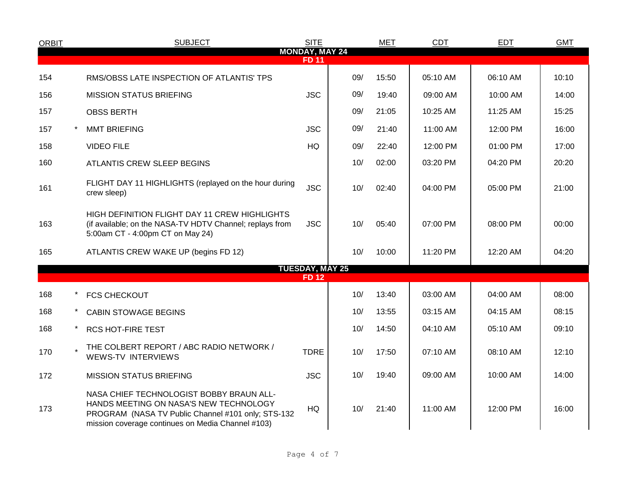| <b>ORBIT</b> | <b>SUBJECT</b>                                                                                                                                                                                | <b>SITE</b>                           |     | <b>MET</b> | <b>CDT</b> | <b>EDT</b> | <b>GMT</b> |
|--------------|-----------------------------------------------------------------------------------------------------------------------------------------------------------------------------------------------|---------------------------------------|-----|------------|------------|------------|------------|
|              |                                                                                                                                                                                               | <b>MONDAY, MAY 24</b><br><b>FD 11</b> |     |            |            |            |            |
| 154          | RMS/OBSS LATE INSPECTION OF ATLANTIS' TPS                                                                                                                                                     |                                       | 09/ | 15:50      | 05:10 AM   | 06:10 AM   | 10:10      |
| 156          | <b>MISSION STATUS BRIEFING</b>                                                                                                                                                                | <b>JSC</b>                            | 09/ | 19:40      | 09:00 AM   | 10:00 AM   | 14:00      |
| 157          | <b>OBSS BERTH</b>                                                                                                                                                                             |                                       | 09/ | 21:05      | 10:25 AM   | 11:25 AM   | 15:25      |
| 157          | <b>MMT BRIEFING</b>                                                                                                                                                                           | <b>JSC</b>                            | 09/ | 21:40      | 11:00 AM   | 12:00 PM   | 16:00      |
| 158          | <b>VIDEO FILE</b>                                                                                                                                                                             | HQ                                    | 09/ | 22:40      | 12:00 PM   | 01:00 PM   | 17:00      |
| 160          | ATLANTIS CREW SLEEP BEGINS                                                                                                                                                                    |                                       | 10/ | 02:00      | 03:20 PM   | 04:20 PM   | 20:20      |
| 161          | FLIGHT DAY 11 HIGHLIGHTS (replayed on the hour during<br>crew sleep)                                                                                                                          | <b>JSC</b>                            | 10/ | 02:40      | 04:00 PM   | 05:00 PM   | 21:00      |
| 163          | HIGH DEFINITION FLIGHT DAY 11 CREW HIGHLIGHTS<br>(if available; on the NASA-TV HDTV Channel; replays from<br>5:00am CT - 4:00pm CT on May 24)                                                 | <b>JSC</b>                            | 10/ | 05:40      | 07:00 PM   | 08:00 PM   | 00:00      |
| 165          | ATLANTIS CREW WAKE UP (begins FD 12)                                                                                                                                                          |                                       | 10/ | 10:00      | 11:20 PM   | 12:20 AM   | 04:20      |
|              |                                                                                                                                                                                               | <b>TUESDAY, MAY 25</b>                |     |            |            |            |            |
|              |                                                                                                                                                                                               | <b>FD12</b>                           |     |            |            |            |            |
| 168          | <b>FCS CHECKOUT</b>                                                                                                                                                                           |                                       | 10/ | 13:40      | 03:00 AM   | 04:00 AM   | 08:00      |
| 168          | <b>CABIN STOWAGE BEGINS</b>                                                                                                                                                                   |                                       | 10/ | 13:55      | 03:15 AM   | 04:15 AM   | 08:15      |
| 168          | <b>RCS HOT-FIRE TEST</b>                                                                                                                                                                      |                                       | 10/ | 14:50      | 04:10 AM   | 05:10 AM   | 09:10      |
| 170          | THE COLBERT REPORT / ABC RADIO NETWORK /<br><b>WEWS-TV INTERVIEWS</b>                                                                                                                         | <b>TDRE</b>                           | 10/ | 17:50      | 07:10 AM   | 08:10 AM   | 12:10      |
| 172          | <b>MISSION STATUS BRIEFING</b>                                                                                                                                                                | <b>JSC</b>                            | 10/ | 19:40      | 09:00 AM   | 10:00 AM   | 14:00      |
| 173          | NASA CHIEF TECHNOLOGIST BOBBY BRAUN ALL-<br>HANDS MEETING ON NASA'S NEW TECHNOLOGY<br>PROGRAM (NASA TV Public Channel #101 only; STS-132<br>mission coverage continues on Media Channel #103) | HQ                                    | 10/ | 21:40      | 11:00 AM   | 12:00 PM   | 16:00      |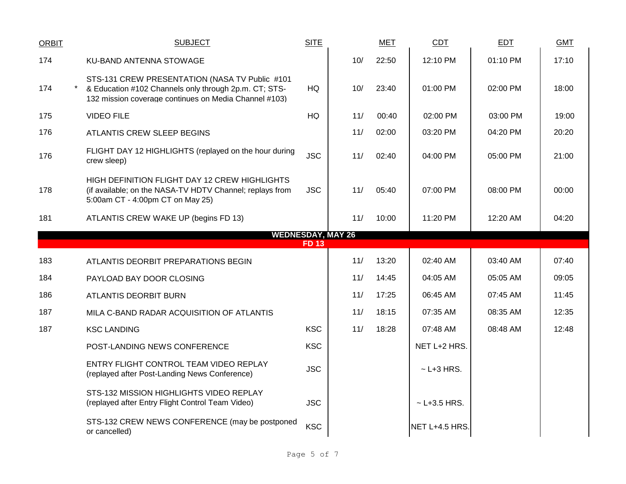| <b>ORBIT</b> | <b>SUBJECT</b>                                                                                                                                                   | <b>SITE</b> |                          | <b>MET</b> | CDT              | EDT      | <b>GMT</b> |
|--------------|------------------------------------------------------------------------------------------------------------------------------------------------------------------|-------------|--------------------------|------------|------------------|----------|------------|
| 174          | KU-BAND ANTENNA STOWAGE                                                                                                                                          |             | 10/                      | 22:50      | 12:10 PM         | 01:10 PM | 17:10      |
| 174          | STS-131 CREW PRESENTATION (NASA TV Public #101<br>& Education #102 Channels only through 2p.m. CT; STS-<br>132 mission coverage continues on Media Channel #103) | HQ          | 10/                      | 23:40      | 01:00 PM         | 02:00 PM | 18:00      |
| 175          | <b>VIDEO FILE</b>                                                                                                                                                | HQ          | 11/                      | 00:40      | 02:00 PM         | 03:00 PM | 19:00      |
| 176          | ATLANTIS CREW SLEEP BEGINS                                                                                                                                       |             | 11/                      | 02:00      | 03:20 PM         | 04:20 PM | 20:20      |
| 176          | FLIGHT DAY 12 HIGHLIGHTS (replayed on the hour during<br>crew sleep)                                                                                             | <b>JSC</b>  | 11/                      | 02:40      | 04:00 PM         | 05:00 PM | 21:00      |
| 178          | HIGH DEFINITION FLIGHT DAY 12 CREW HIGHLIGHTS<br>(if available; on the NASA-TV HDTV Channel; replays from<br>5:00am CT - 4:00pm CT on May 25)                    | <b>JSC</b>  | 11/                      | 05:40      | 07:00 PM         | 08:00 PM | 00:00      |
| 181          | ATLANTIS CREW WAKE UP (begins FD 13)                                                                                                                             |             | 11/                      | 10:00      | 11:20 PM         | 12:20 AM | 04:20      |
|              |                                                                                                                                                                  | <b>FD13</b> | <b>WEDNESDAY, MAY 26</b> |            |                  |          |            |
| 183          |                                                                                                                                                                  |             | 11/                      | 13:20      | 02:40 AM         | 03:40 AM | 07:40      |
|              | ATLANTIS DEORBIT PREPARATIONS BEGIN                                                                                                                              |             |                          |            |                  |          |            |
| 184          | PAYLOAD BAY DOOR CLOSING                                                                                                                                         |             | 11/                      | 14:45      | 04:05 AM         | 05:05 AM | 09:05      |
| 186          | ATLANTIS DEORBIT BURN                                                                                                                                            |             | 11/                      | 17:25      | 06:45 AM         | 07:45 AM | 11:45      |
| 187          | MILA C-BAND RADAR ACQUISITION OF ATLANTIS                                                                                                                        |             | 11/                      | 18:15      | 07:35 AM         | 08:35 AM | 12:35      |
| 187          | <b>KSC LANDING</b>                                                                                                                                               | <b>KSC</b>  | 11/                      | 18:28      | 07:48 AM         | 08:48 AM | 12:48      |
|              | POST-LANDING NEWS CONFERENCE                                                                                                                                     | <b>KSC</b>  |                          |            | NET L+2 HRS.     |          |            |
|              | ENTRY FLIGHT CONTROL TEAM VIDEO REPLAY<br>(replayed after Post-Landing News Conference)                                                                          | <b>JSC</b>  |                          |            | $\sim$ L+3 HRS.  |          |            |
|              | STS-132 MISSION HIGHLIGHTS VIDEO REPLAY<br>(replayed after Entry Flight Control Team Video)                                                                      | <b>JSC</b>  |                          |            | $~$ - L+3.5 HRS. |          |            |
|              | STS-132 CREW NEWS CONFERENCE (may be postponed<br>or cancelled)                                                                                                  | <b>KSC</b>  |                          |            | NET L+4.5 HRS.   |          |            |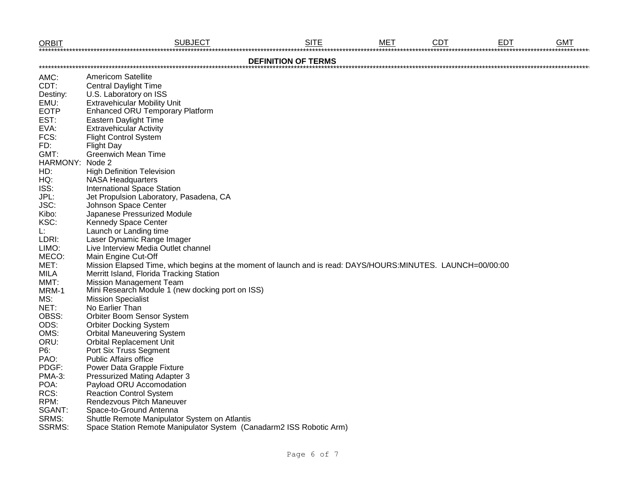| <b>ORBIT</b>  | <b>SUBJECT</b>                                                                                              | <b>SITE</b>                | <b>MET</b> | <b>CDT</b> | <b>EDT</b> | <b>GMT</b> |
|---------------|-------------------------------------------------------------------------------------------------------------|----------------------------|------------|------------|------------|------------|
|               |                                                                                                             | <b>DEFINITION OF TERMS</b> |            |            |            |            |
| AMC:          | <b>Americom Satellite</b>                                                                                   |                            |            |            |            |            |
| CDT:          | <b>Central Daylight Time</b>                                                                                |                            |            |            |            |            |
| Destiny:      | U.S. Laboratory on ISS                                                                                      |                            |            |            |            |            |
| EMU:          | <b>Extravehicular Mobility Unit</b>                                                                         |                            |            |            |            |            |
| <b>EOTP</b>   | <b>Enhanced ORU Temporary Platform</b>                                                                      |                            |            |            |            |            |
| EST:          | Eastern Daylight Time                                                                                       |                            |            |            |            |            |
| EVA:          | <b>Extravehicular Activity</b>                                                                              |                            |            |            |            |            |
| FCS:          | <b>Flight Control System</b>                                                                                |                            |            |            |            |            |
| FD:           | <b>Flight Day</b>                                                                                           |                            |            |            |            |            |
| GMT:          | <b>Greenwich Mean Time</b>                                                                                  |                            |            |            |            |            |
| HARMONY:      | Node 2                                                                                                      |                            |            |            |            |            |
| HD:           | <b>High Definition Television</b>                                                                           |                            |            |            |            |            |
| HQ:           | <b>NASA Headquarters</b>                                                                                    |                            |            |            |            |            |
| ISS:          | <b>International Space Station</b>                                                                          |                            |            |            |            |            |
| JPL:          | Jet Propulsion Laboratory, Pasadena, CA                                                                     |                            |            |            |            |            |
| JSC:          | Johnson Space Center                                                                                        |                            |            |            |            |            |
| Kibo:         | Japanese Pressurized Module                                                                                 |                            |            |            |            |            |
| KSC:          | Kennedy Space Center                                                                                        |                            |            |            |            |            |
| L:            | Launch or Landing time                                                                                      |                            |            |            |            |            |
| LDRI:         | Laser Dynamic Range Imager                                                                                  |                            |            |            |            |            |
| LIMO:         | Live Interview Media Outlet channel                                                                         |                            |            |            |            |            |
| MECO:         | Main Engine Cut-Off                                                                                         |                            |            |            |            |            |
| MET:          | Mission Elapsed Time, which begins at the moment of launch and is read: DAYS/HOURS:MINUTES. LAUNCH=00/00:00 |                            |            |            |            |            |
| <b>MILA</b>   | Merritt Island, Florida Tracking Station                                                                    |                            |            |            |            |            |
| MMT:          | <b>Mission Management Team</b>                                                                              |                            |            |            |            |            |
| MRM-1         | Mini Research Module 1 (new docking port on ISS)                                                            |                            |            |            |            |            |
| MS:           | <b>Mission Specialist</b>                                                                                   |                            |            |            |            |            |
| NET:          | No Earlier Than                                                                                             |                            |            |            |            |            |
| OBSS:         | Orbiter Boom Sensor System                                                                                  |                            |            |            |            |            |
| ODS:          | <b>Orbiter Docking System</b>                                                                               |                            |            |            |            |            |
| OMS:          | <b>Orbital Maneuvering System</b>                                                                           |                            |            |            |            |            |
| ORU:          | <b>Orbital Replacement Unit</b>                                                                             |                            |            |            |            |            |
| P6:           | Port Six Truss Segment                                                                                      |                            |            |            |            |            |
| PAO:          | <b>Public Affairs office</b>                                                                                |                            |            |            |            |            |
| PDGF:         | Power Data Grapple Fixture                                                                                  |                            |            |            |            |            |
| PMA-3:        | Pressurized Mating Adapter 3                                                                                |                            |            |            |            |            |
| POA:          | Payload ORU Accomodation                                                                                    |                            |            |            |            |            |
| RCS:          | <b>Reaction Control System</b>                                                                              |                            |            |            |            |            |
| RPM:          | Rendezvous Pitch Maneuver                                                                                   |                            |            |            |            |            |
| SGANT:        | Space-to-Ground Antenna                                                                                     |                            |            |            |            |            |
| SRMS:         | Shuttle Remote Manipulator System on Atlantis                                                               |                            |            |            |            |            |
| <b>SSRMS:</b> | Space Station Remote Manipulator System (Canadarm2 ISS Robotic Arm)                                         |                            |            |            |            |            |